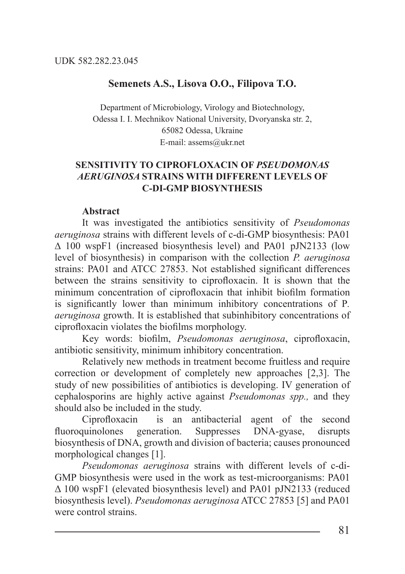## **Semenets A.S., Lisova O.O., Filipova T.O.**

Department of Microbiology, Virology and Biotechnology, Odessa I. I. Mechnikov National University, Dvoryanska str. 2, 65082 Odessa, Ukraine E-mail: assems@ukr.net

## **SENSITIVITY TO CIPROFLOXACIN OF** *PSEUDOMONAS AERUGINOSA* **STRAINS WITH DIFFERENT LEVELS OF C-DI-GMP BIOSYNTHESIS**

## **Abstract**

It was investigated the antibiotics sensitivity of *Pseudomonas aeruginosa* strains with different levels of c-di-GMP biosynthesis: PA01 ∆ 100 wspF1 (increased biosynthesis level) and PA01 pJN2133 (low level of biosynthesis) in comparison with the collection *P. aeruginosa*  strains: РА01 and ATСС 27853. Not established significant differences between the strains sensitivity to ciprofloxacin. It is shown that the minimum concentration of ciprofloxacin that inhibit biofilm formation is significantly lower than minimum inhibitory concentrations of P*. aeruginosa* growth. It is established that subinhibitory concentrations of ciprofloxacin violates the biofilms morphology.

Key words: biofilm, *Pseudomonas aeruginosa*, ciprofloxacin, antibiotic sensitivity, minimum inhibitory concentration.

Relatively new methods in treatment become fruitless and require correction or development of completely new approaches [2,3]. The study of new possibilities of antibiotics is developing. IV generation of cephalosporins are highly active against *Pseudomonas spp.,* and they should also be included in the study.

Ciprofloxacin is an antibacterial agent of the second fluoroquinolones generation. Suppresses DNA-gyase, disrupts biosynthesis of DNA, growth and division of bacteria; causes pronounced morphological changes [1].

*Pseudomonas aeruginosa* strains with different levels of c-di-GMP biosynthesis were used in the work as test-microorganisms: PA01 Δ 100 wspF1 (elevated biosynthesis level) and PA01 pJN2133 (reduced biosynthesis level). *Pseudomonas aeruginosa* ATCC 27853 [5] and PA01 were control strains.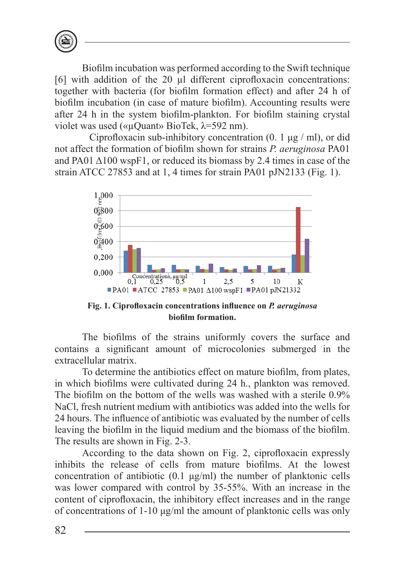

Biofilm incubation was performed according to the Swift technique [6] with addition of the 20 µl different ciprofloxacin concentrations: together with bacteria (for biofilm formation effect) and after 24 h of biofilm incubation (in case of mature biofilm). Accounting results were after 24 h in the system biofilm-plankton. For biofilm staining crystal violet was used («µQuant» BioTek, λ=592 nm).

Ciprofloxacin sub-inhibitory concentration  $(0, 1 \mu g / m)$ , or did not affect the formation of biofilm shown for strains *P. aeruginosa* PA01 and PA01  $\triangle$ 100 wspF1, or reduced its biomass by 2.4 times in case of the strain ATCC 27853 and at 1, 4 times for strain PA01 pJN2133 (Fig. 1).



**Fig. 1. Ciprofloxacin concentrations influence on** *P. aeruginosa* **biofilm formation.**

The biofilms of the strains uniformly covers the surface and contains a significant amount of microcolonies submerged in the extracellular matrix.

To determine the antibiotics effect on mature biofilm, from plates, in which biofilms were cultivated during 24 h., plankton was removed. The biofilm on the bottom of the wells was washed with a sterile 0.9% NaCl, fresh nutrient medium with antibiotics was added into the wells for 24 hours. The influence of antibiotic was evaluated by the number of cells leaving the biofilm in the liquid medium and the biomass of the biofilm. The results are shown in Fig. 2-3.

According to the data shown on Fig. 2, ciprofloxacin expressly inhibits the release of cells from mature biofilms. At the lowest concentration of antibiotic (0.1 μg/ml) the number of planktonic cells was lower compared with control by 35-55%. With an increase in the content of ciprofloxacin, the inhibitory effect increases and in the range of concentrations of 1-10 μg/ml the amount of planktonic cells was only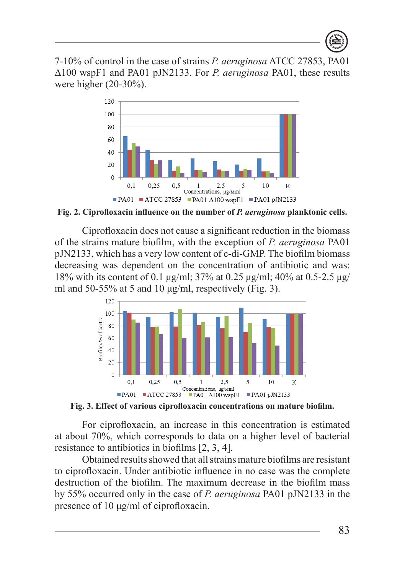7-10% of control in the case of strains *P. aeruginosa* ATCC 27853, PA01 Δ100 wspF1 and PA01 pJN2133. For *P. aeruginosa* PA01, these results were higher (20-30%).



**Fig. 2. Ciprofloxacin influence on the number of** *P. aeruginosa* **planktonic cells.**

Ciprofloxacin does not cause a significant reduction in the biomass of the strains mature biofilm, with the exception of *P. aeruginosa* PA01 pJN2133, which has a very low content of c-di-GMP. The biofilm biomass decreasing was dependent on the concentration of antibiotic and was: 18% with its content of 0.1 μg/ml; 37% at 0.25 μg/ml; 40% at 0.5-2.5 μg/ ml and 50-55% at 5 and 10  $\mu$ g/ml, respectively (Fig. 3).



**Fig. 3. Effect of various ciprofloxacin concentrations on mature biofilm.**

For ciprofloxacin, an increase in this concentration is estimated at about 70%, which corresponds to data on a higher level of bacterial resistance to antibiotics in biofilms [2, 3, 4].

Obtained results showed that all strains mature biofilms are resistant to ciprofloxacin. Under antibiotic influence in no case was the complete destruction of the biofilm. The maximum decrease in the biofilm mass by 55% occurred only in the case of *P. aeruginosa* PA01 pJN2133 in the presence of 10 μg/ml of ciprofloxacin.